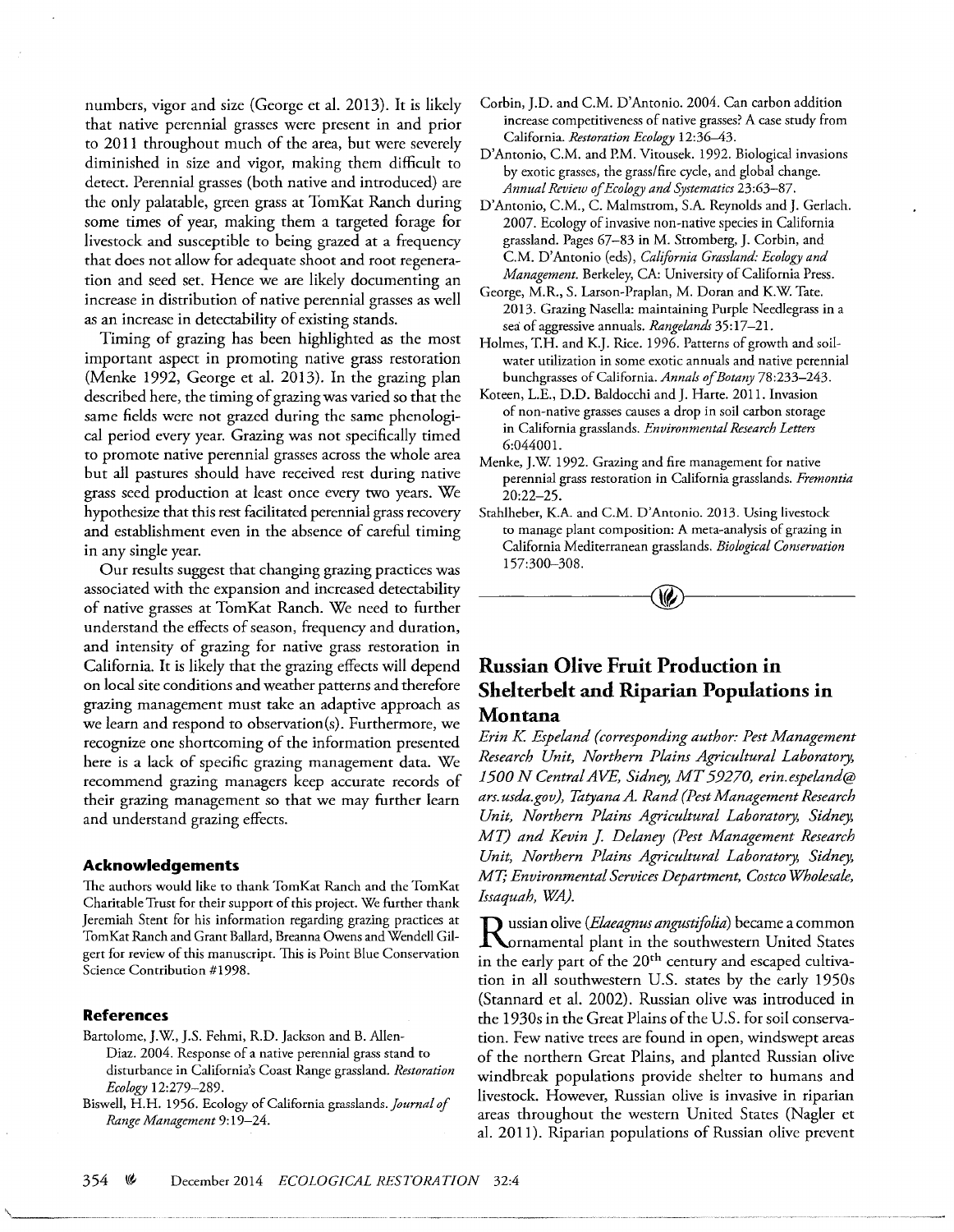numbers, vigor and size (George et al. 2013). It is likely that native perennial grasses were present in and prior to 2011 throughout much of the area, but were severely diminished in size and vigor, making them difficult to detect. Perennial grasses (both native and introduced) are the only palatable, green grass at TomKat Ranch during some times of year, making them a targeted forage for livestock and susceptible to being grazed at a frequency that does not allow for adequate shoot and root regeneration and seed set. Hence we are likely documenting an increase in distribution of native perennial grasses as well as an increase in detectability of existing stands.

Timing of grazing has been highlighted as the most important aspect in promoting native grass restoration (Menke 1992, George et al. 2013). In the grazing plan described here, the timing of grazing was varied so that the same fields were not grazed during the same phenological period every year. Grazing was not specifically timed to promote native perennial grasses across the whole area but all pastures should have received rest during native grass seed production at least once every two years. We hypothesize that this rest facilitated perennial grass recovery and establishment even in the absence of careful timing in any single year.

Our results suggest that changing grazing practices was associated with the expansion and increased detectability of native grasses at TomKat Ranch. We need to further understand the effects of season, frequency and duration, and intensity of grazing for native grass restoration in California. It is likely that the grazing effects will depend on local site conditions and weather patterns and therefore grazing management must take an adaptive approach as we learn and respond to observation(s). Furthermore, we recognize one shortcoming of the information presented here is a lack of specific grazing management data. We recommend grazing managers keep accurate records of their grazing management so that we may further learn and understand grazing effects.

## **Acknowledgements**

The authors would like to thank TomKat Ranch and the TomKat Charitable Trust for their support of this project. We further thank Jeremiah Stent for his information regarding grazing practices at TomKat Ranch and Grant Ballard, Breanna Owens and Wendell Gilgert for review of this manuscript. This is Point Blue Conservation Science Contribution #1998.

## **References**

- Bartolome, J.W, J.S. Fehmi, R.D. Jackson and B. Allen-Diaz. 2004. Response of a native perennial grass stand to disturbance in California's Coast Range grassland. *Restoration Ecology* 12:279-289.
- Biswell, H.H. 1956. Ecology of California grasslands. *Journal of Range Management* 9: 19-24.
- Corbin, J.D. and C.M. D'Antonio. 2004. Can carbon addition increase competitiveness of native grasses? A case study from California. *Restoration Ecology* 12:36-43.
- D'Antonio, C.M. and P.M. Vitousek. 1992. Biological invasions by exotic grasses, the grass/fire cycle, and global change. *Annual Review of Ecology and Systematics* 23:63-87.
- D'Antonio, C.M., C. Malmstrom, S.A. Reynolds and J. Gerlach. 2007. Ecology of invasive non-native species in California grassland. Pages 67-83 in M. Stromberg, J. Corbin, and C.M. D'Antonio (eds), *California Grassland: Ecology and Management.* Berkeley, CA: University of California Press.
- George, M.R., S. Larson-Praplan, M. Doran and K.W. Tate. 2013. Grazing Nasella: maintaining Purple Needlegrass in a sea of aggressive annuals. *Rangelands* 35:17-21.
- Holmes, T.H. and K.J. Rice. 1996. Patterns of growth and soilwater utilization in some exotic annuals and native perennial bunchgrasses of California. *Annals of Botany* 78:233-243.
- Koteen, L.E., D.D. Baldocchi and J. Harte. 2011. Invasion of non-native grasses causes a drop in soil carbon storage in California grasslands. *Environmental Research Letters*  6:044001.
- Menke, J.W. 1992. Grazing and fire management for native perennial grass restoration in California grasslands. *Fremontia*  20:22-25.
- Stahlheber, K.A. and C.M. D'Antonio. 2013. Using livestock to manage plant composition: A meta-analysis of grazing in California Mediterranean grasslands. *Biological Conservation*  157:300-308.



## **Russian Olive Fruit Production in Shelterbelt and Riparian Populations in Montana**

*Erin K Espeland (corresponding author: Pest Management Research Unit, Northern Plains Agricultural Laboratory, 1500 N Centra! AVE, Sidney, MT 59270, erin.espeland@ ars. usda.gov ), Tatyana A. Rand (Pest Management Research Unit, Northern Plains Agricultural Laboratory, Sidney, MT*) and *Kevin J. Delaney (Pest Management Research Unit, Northern Plains Agricultural Laboratory, Sidney, MT; Environmental Services Department, Costco Wholesale, Issaquah, WA).* 

**D** ussian olive *(Elaeagnus angustifolia)* became a common Kornamental plant in the southwestern United States in the early part of the 20<sup>th</sup> century and escaped cultivation in all southwestern U.S. states by the early 1950s (Stannard et al. 2002). Russian olive was introduced in the 1930s in the Great Plains of the U.S. for soil conservation. Few native trees are found in open, windswept areas of the northern Great Plains, and planted Russian olive windbreak populations provide shelter to humans and livestock. However, Russian olive is invasive in riparian areas throughout the western United States (Nagler et al. 2011). Riparian populations of Russian olive prevent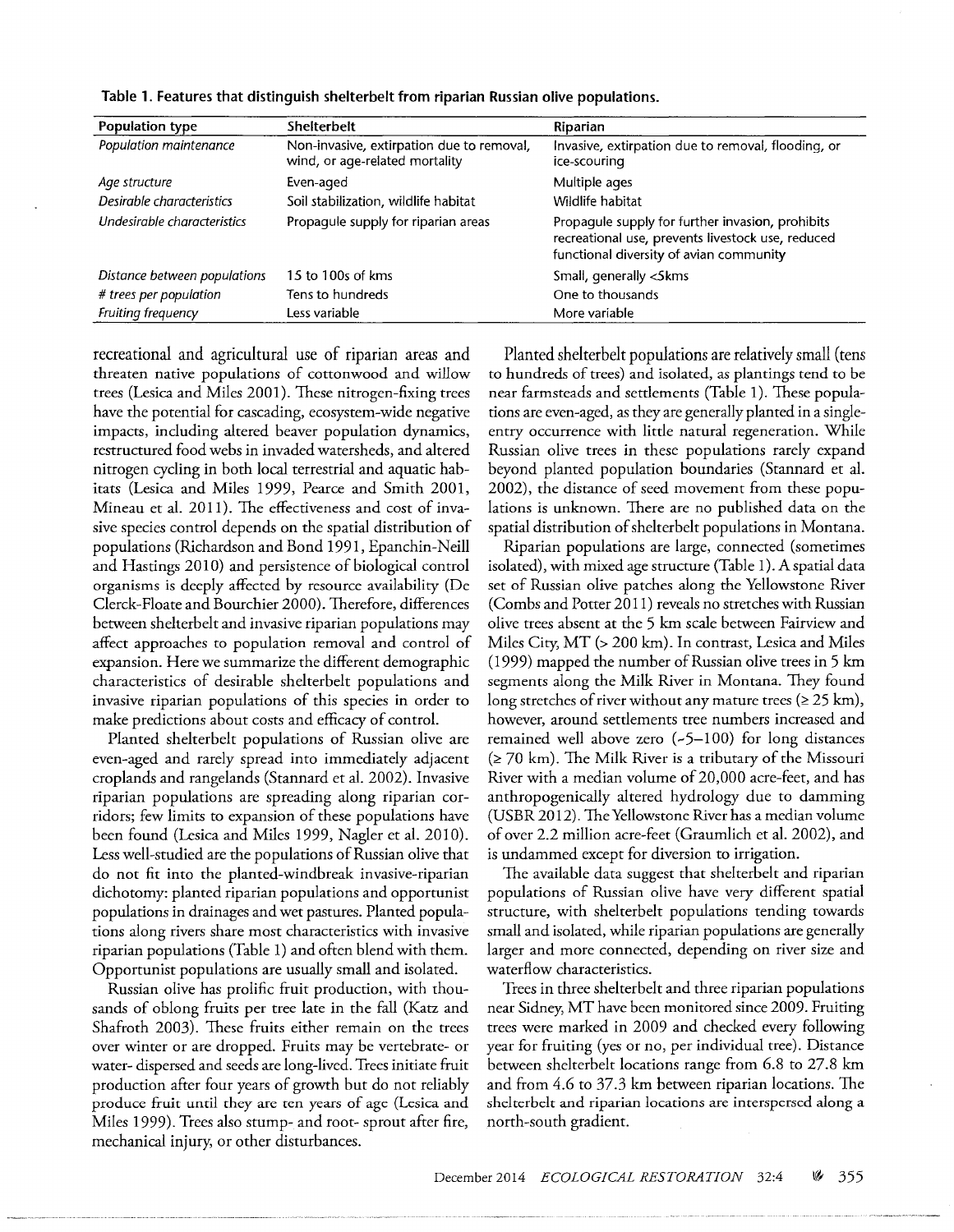| Population type              | <b>Shelterbelt</b>                                                          | Riparian                                                                                                                                         |
|------------------------------|-----------------------------------------------------------------------------|--------------------------------------------------------------------------------------------------------------------------------------------------|
| Population maintenance       | Non-invasive, extirpation due to removal,<br>wind, or age-related mortality | Invasive, extirpation due to removal, flooding, or<br>ice-scouring                                                                               |
| Age structure                | Even-aged                                                                   | Multiple ages                                                                                                                                    |
| Desirable characteristics    | Soil stabilization, wildlife habitat                                        | Wildlife habitat                                                                                                                                 |
| Undesirable characteristics  | Propagule supply for riparian areas                                         | Propagule supply for further invasion, prohibits<br>recreational use, prevents livestock use, reduced<br>functional diversity of avian community |
| Distance between populations | 15 to 100s of kms                                                           | Small, generally <skms< td=""></skms<>                                                                                                           |
| # trees per population       | Tens to hundreds                                                            | One to thousands                                                                                                                                 |
| Fruiting frequency           | Less variable                                                               | More variable                                                                                                                                    |

Table 1. Features that distinguish shelterbelt from riparian Russian olive populations.

recreational and agricultural use of riparian areas and threaten native populations of cottonwood and willow trees (Lesica and Miles 2001). These nitrogen-fixing trees have the potential for cascading, ecosystem-wide negative impacts, including altered beaver population dynamics, restructured food webs in invaded watersheds, and altered nitrogen cycling in both local terrestrial and aquatic habitats (Lesica and Miles 1999, Pearce and Smith 2001, Mineau et al. 2011). The effectiveness and cost of invasive species control depends on the spatial distribution of populations (Richardson and Bond 1991, Epanchin-Neill and Hastings 2010) and persistence of biological control organisms is deeply affected by resource availability (De Clerck-Floate and Bourchier 2000). Therefore, differences between shelterbelt and invasive riparian populations may affect approaches to population removal and control of expansion. Here we summarize the different demographic characteristics of desirable shelterbelt populations and invasive riparian populations of this species in order to make predictions about costs and efficacy of control.

Planted shelterbelt populations of Russian olive are even-aged and rarely spread into immediately adjacent croplands and rangelands (Stannard et al. 2002). Invasive riparian populations are spreading along riparian corridors; few limits to expansion of these populations have been found (Lesica and Miles 1999, Nagler et al. 2010). Less well-studied are the populations of Russian olive that do not fit into the planted-windbreak invasive-riparian dichotomy: planted riparian populations and opportunist populations in drainages and wet pastures. Planted populations along rivers share most characteristics with invasive riparian populations (Table 1) and often blend with them. Opportunist populations are usually small and isolated.

Russian olive has prolific fruit production, with thousands of oblong fruits per tree late in the fall (Katz and Shafroth 2003). These fruits either remain on the trees over winter or are dropped. Fruits may be vertebrate- or water- dispersed and seeds are long-lived. Trees initiate fruit production after four years of growth but do not reliably produce fruit until they are ten years of age (Lesica and Miles 1999). Trees also stump- and root- sprout after fire, mechanical injury, or other disturbances.

Planted shelterbelt populations are relatively small (tens to hundreds of trees) and isolated, as plantings tend to be near farmsteads and settlements (Table 1). These populations are even-aged, as they are generally planted in a singleentry occurrence with little natural regeneration. While Russian olive trees in these populations rarely expand beyond planted population boundaries (Stannard et al. 2002), the distance of seed movement from these populations is unknown. There are no published data on the spatial distribution of shelterbelt populations in Montana.

Riparian populations are large, connected (sometimes isolated), with mixed age structure (Table 1). A spatial data set of Russian olive patches along the Yellowstone River (Combs and Potter 2011) reveals no stretches with Russian olive trees absent at the 5 km scale between Fairview and Miles City, MT (> 200 km). In contrast, Lesica and Miles (1999) mapped the number of Russian olive trees in  $5 \text{ km}$ segments along the Milk River in Montana. They found long stretches of river without any mature trees ( $\geq$  25 km), however, around settlements tree numbers increased and remained well above zero (~5-100) for long distances  $(270 \text{ km})$ . The Milk River is a tributary of the Missouri River with a median volume of 20,000 acre-feet, and has anthropogenically altered hydrology due to damming (USBR 2012). The Yellowstone River has a median volume of over 2.2 million acre-feet (Graumlich et al. 2002), and is undammed except for diversion to irrigation.

The available data suggest that shelterbelt and riparian populations of Russian olive have very different spatial structure, with shelterbelt populations tending towards small and isolated, while riparian populations are generally larger and more connected, depending on river size and waterflow characteristics.

Trees in three shelterbelt and three riparian populations near Sidney, MT have been monitored since 2009. Fruiting trees were marked in 2009 and checked every following year for fruiting (yes or no, per individual tree). Distance between shelterbelt locations range from 6.8 to 27.8 km and from 4.6 to 37.3 km between riparian locations. The shelterbelt and riparian locations are interspersed along a north-south gradient.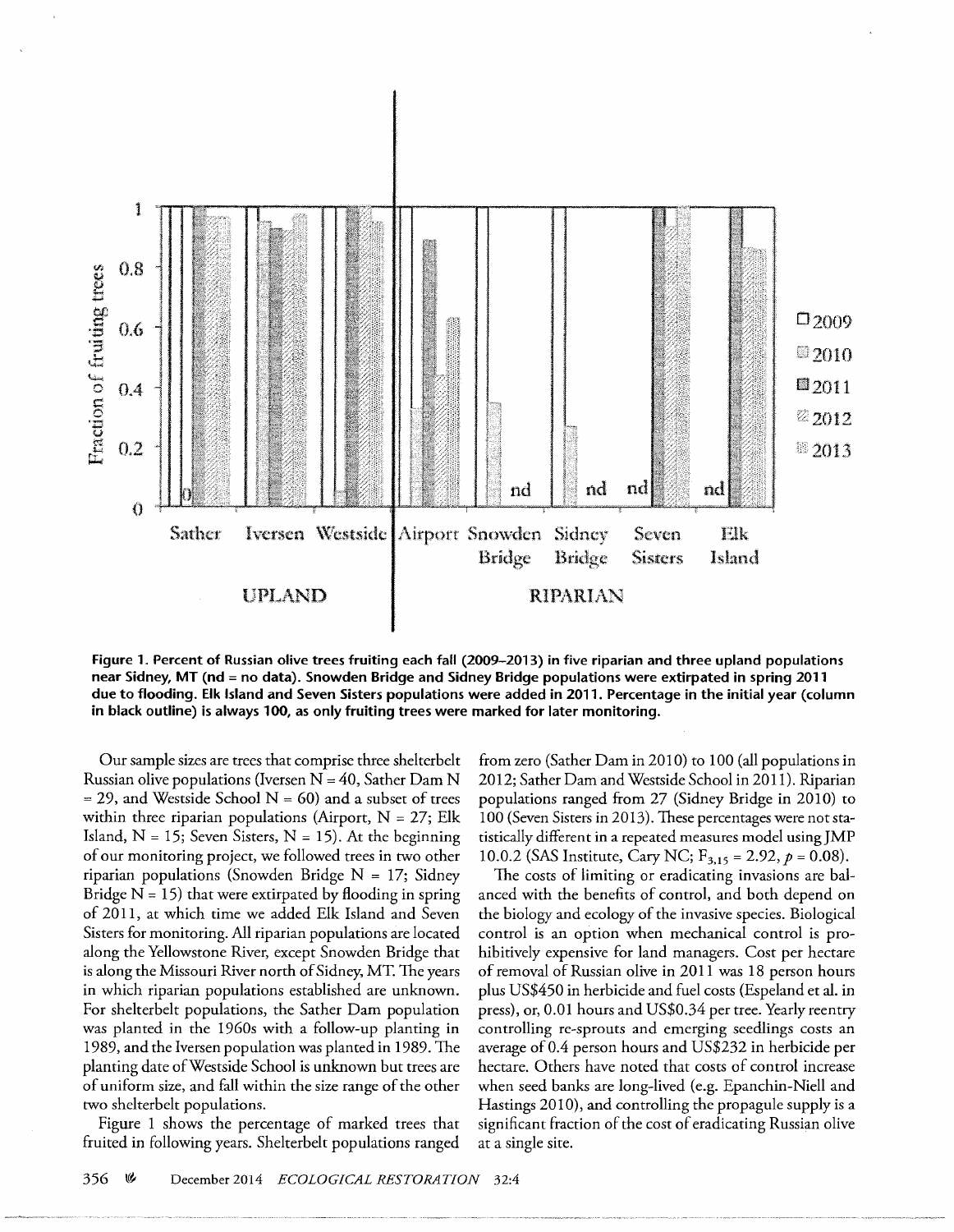

**Figure 1. Percent of Russian olive trees fruiting each fall (2009-2013) in five riparian and three upland populations near Sidney, MT (nd = no data). Snowden Bridge and Sidney Bridge populations were extirpated in spring 2011 due to flooding. Elk Island and Seven Sisters populations were added in 2011. Percentage in the initial year (column in black outline) is always 100, as only fruiting trees were marked for later monitoring.** 

Our sample sizes are trees that comprise three shelterbelt Russian olive populations (Iversen  $N = 40$ , Sather Dam N  $=$  29, and Westside School N  $=$  60) and a subset of trees within three riparian populations (Airport,  $N = 27$ ; Elk Island,  $N = 15$ ; Seven Sisters,  $N = 15$ ). At the beginning of our monitoring project, we followed trees in two other riparian populations (Snowden Bridge  $N = 17$ ; Sidney Bridge  $N = 15$ ) that were extirpated by flooding in spring of 20 **11,** at which time we added Elk Island and Seven Sisters for monitoring. All riparian populations are located along the Yellowstone River, except Snowden Bridge that is along the Missouri River north of Sidney, MT. The years in which riparian populations established are unknown. For shelterbelt populations, the Sather Dam population was planted in the 1960s with a follow-up planting in 1989, and the Iversen population was planted in 1989. The planting date ofWestside School is unknown but trees are of uniform size, and fall within the size range of the other two shelterbelt populations.

Figure 1 shows the percentage of marked trees that fruited in following years. Shelterbelt populations ranged

from zero (Sather Dam in 2010) to 100 (all populations in 20 12; Sather Dam and Westside School in 2011). Riparian populations ranged from 27 (Sidney Bridge in 2010) to 100 (Seven Sisters in 2013). These percentages were not statistically different in a repeated measures model usingJMP 10.0.2 (SAS Institute, Cary NC;  $F_{3,15} = 2.92$ ,  $p = 0.08$ ).

The costs of limiting or eradicating invasions are balanced with the benefits of control, and both depend on the biology and ecology of the invasive species. Biological control is an option when mechanical control is prohibitively expensive for land managers. Cost per hectare of removal of Russian olive in 2011 was 18 person hours plus US\$450 in herbicide and fuel costs (Espeland et al. in press), or, 0.01 hours and US\$0.34 per tree. Yearly reentry controlling re-sprouts and emerging seedlings costs an average of 0.4 person hours and US\$232 in herbicide per hectare. Others have noted that costs of control increase when seed banks are long-lived (e.g. Epanchin-Niell and Hastings 2010), and controlling the propagule supply is a significant fraction of the cost of eradicating Russian olive at a single site.